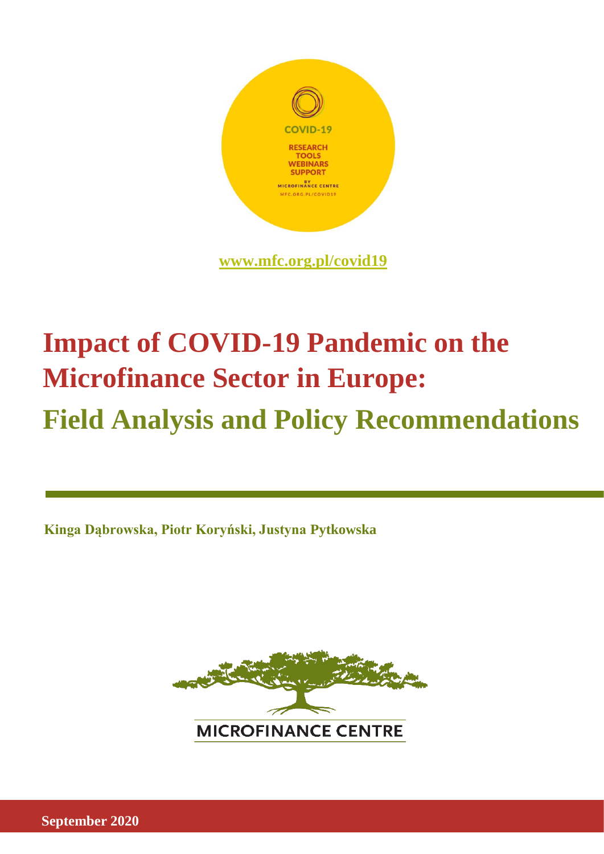

# **Impact of COVID-19 Pandemic on the Microfinance Sector in Europe: Field Analysis and Policy Recommendations**

**Kinga Dąbrowska, Piotr Koryński, Justyna Pytkowska**



**September 2020**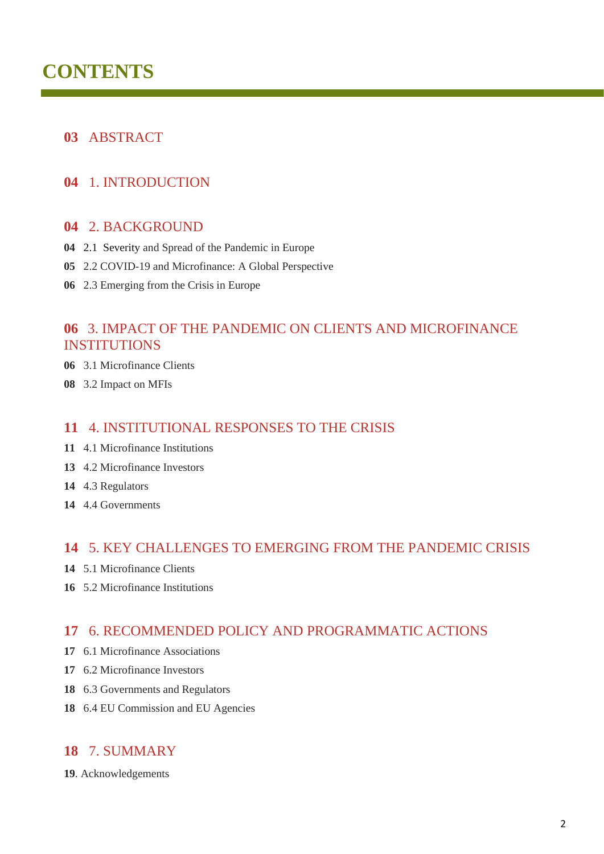## **CONTENTS**

## ABSTRACT

## 1. INTRODUCTION

#### 2. BACKGROUND

- 2.1 Severity and Spread of the Pandemic in Europe
- 2.2 COVID-19 and Microfinance: A Global Perspective
- 2.3 Emerging from the Crisis in Europe

## 3. IMPACT OF THE PANDEMIC ON CLIENTS AND MICROFINANCE INSTITUTIONS

- 3.1 Microfinance Clients
- 3.2 Impact on MFIs

#### 4. INSTITUTIONAL RESPONSES TO THE CRISIS

- 4.1 Microfinance Institutions
- 4.2 Microfinance Investors
- 4.3 Regulators
- 4.4 Governments

#### 5. KEY CHALLENGES TO EMERGING FROM THE PANDEMIC CRISIS

- 5.1 Microfinance Clients
- 5.2 Microfinance Institutions

## 6. RECOMMENDED POLICY AND PROGRAMMATIC ACTIONS

- 6.1 Microfinance Associations
- 6.2 Microfinance Investors
- 6.3 Governments and Regulators
- 6.4 EU Commission and EU Agencies

## 7. SUMMARY

. Acknowledgements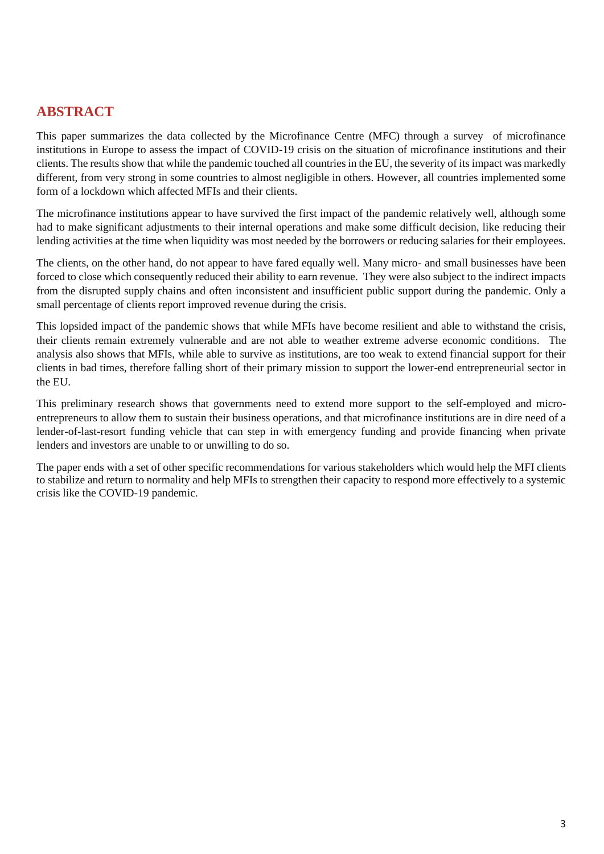## **ABSTRACT**

This paper summarizes the data collected by the Microfinance Centre (MFC) through a survey of microfinance institutions in Europe to assess the impact of COVID-19 crisis on the situation of microfinance institutions and their clients. The results show that while the pandemic touched all countries in the EU, the severity of its impact was markedly different, from very strong in some countries to almost negligible in others. However, all countries implemented some form of a lockdown which affected MFIs and their clients.

The microfinance institutions appear to have survived the first impact of the pandemic relatively well, although some had to make significant adjustments to their internal operations and make some difficult decision, like reducing their lending activities at the time when liquidity was most needed by the borrowers or reducing salaries for their employees.

The clients, on the other hand, do not appear to have fared equally well. Many micro- and small businesses have been forced to close which consequently reduced their ability to earn revenue. They were also subject to the indirect impacts from the disrupted supply chains and often inconsistent and insufficient public support during the pandemic. Only a small percentage of clients report improved revenue during the crisis.

This lopsided impact of the pandemic shows that while MFIs have become resilient and able to withstand the crisis, their clients remain extremely vulnerable and are not able to weather extreme adverse economic conditions. The analysis also shows that MFIs, while able to survive as institutions, are too weak to extend financial support for their clients in bad times, therefore falling short of their primary mission to support the lower-end entrepreneurial sector in the EU.

This preliminary research shows that governments need to extend more support to the self-employed and microentrepreneurs to allow them to sustain their business operations, and that microfinance institutions are in dire need of a lender-of-last-resort funding vehicle that can step in with emergency funding and provide financing when private lenders and investors are unable to or unwilling to do so.

The paper ends with a set of other specific recommendations for various stakeholders which would help the MFI clients to stabilize and return to normality and help MFIs to strengthen their capacity to respond more effectively to a systemic crisis like the COVID-19 pandemic.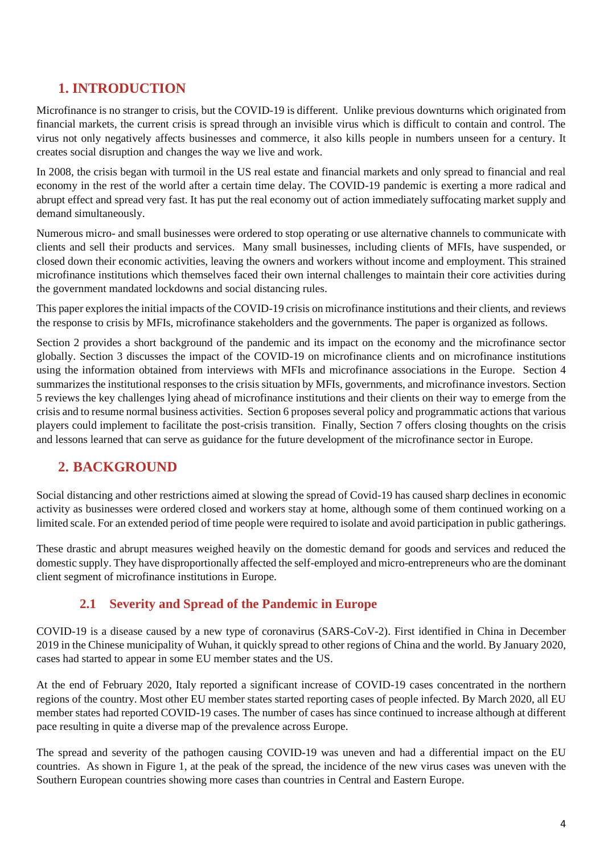## **1. INTRODUCTION**

Microfinance is no stranger to crisis, but the COVID-19 is different. Unlike previous downturns which originated from financial markets, the current crisis is spread through an invisible virus which is difficult to contain and control. The virus not only negatively affects businesses and commerce, it also kills people in numbers unseen for a century. It creates social disruption and changes the way we live and work.

In 2008, the crisis began with turmoil in the US real estate and financial markets and only spread to financial and real economy in the rest of the world after a certain time delay. The COVID-19 pandemic is exerting a more radical and abrupt effect and spread very fast. It has put the real economy out of action immediately suffocating market supply and demand simultaneously.

Numerous micro- and small businesses were ordered to stop operating or use alternative channels to communicate with clients and sell their products and services. Many small businesses, including clients of MFIs, have suspended, or closed down their economic activities, leaving the owners and workers without income and employment. This strained microfinance institutions which themselves faced their own internal challenges to maintain their core activities during the government mandated lockdowns and social distancing rules.

This paper explores the initial impacts of the COVID-19 crisis on microfinance institutions and their clients, and reviews the response to crisis by MFIs, microfinance stakeholders and the governments. The paper is organized as follows.

Section 2 provides a short background of the pandemic and its impact on the economy and the microfinance sector globally. Section 3 discusses the impact of the COVID-19 on microfinance clients and on microfinance institutions using the information obtained from interviews with MFIs and microfinance associations in the Europe. Section 4 summarizes the institutional responses to the crisis situation by MFIs, governments, and microfinance investors. Section 5 reviews the key challenges lying ahead of microfinance institutions and their clients on their way to emerge from the crisis and to resume normal business activities. Section 6 proposes several policy and programmatic actions that various players could implement to facilitate the post-crisis transition. Finally, Section 7 offers closing thoughts on the crisis and lessons learned that can serve as guidance for the future development of the microfinance sector in Europe.

## **2. BACKGROUND**

Social distancing and other restrictions aimed at slowing the spread of Covid-19 has caused sharp declines in economic activity as businesses were ordered closed and workers stay at home, although some of them continued working on a limited scale. For an extended period of time people were required to isolate and avoid participation in public gatherings.

These drastic and abrupt measures weighed heavily on the domestic demand for goods and services and reduced the domestic supply. They have disproportionally affected the self-employed and micro-entrepreneurs who are the dominant client segment of microfinance institutions in Europe.

## **2.1 Severity and Spread of the Pandemic in Europe**

COVID-19 is a disease caused by a new type of coronavirus (SARS-CoV-2). First identified in China in December 2019 in the Chinese municipality of Wuhan, it quickly spread to other regions of China and the world. By January 2020, cases had started to appear in some EU member states and the US.

At the end of February 2020, Italy reported a significant increase of COVID-19 cases concentrated in the northern regions of the country. Most other EU member states started reporting cases of people infected. By March 2020, all EU member states had reported COVID-19 cases. The number of cases has since continued to increase although at different pace resulting in quite a diverse map of the prevalence across Europe.

The spread and severity of the pathogen causing COVID-19 was uneven and had a differential impact on the EU countries. As shown in Figure 1, at the peak of the spread, the incidence of the new virus cases was uneven with the Southern European countries showing more cases than countries in Central and Eastern Europe.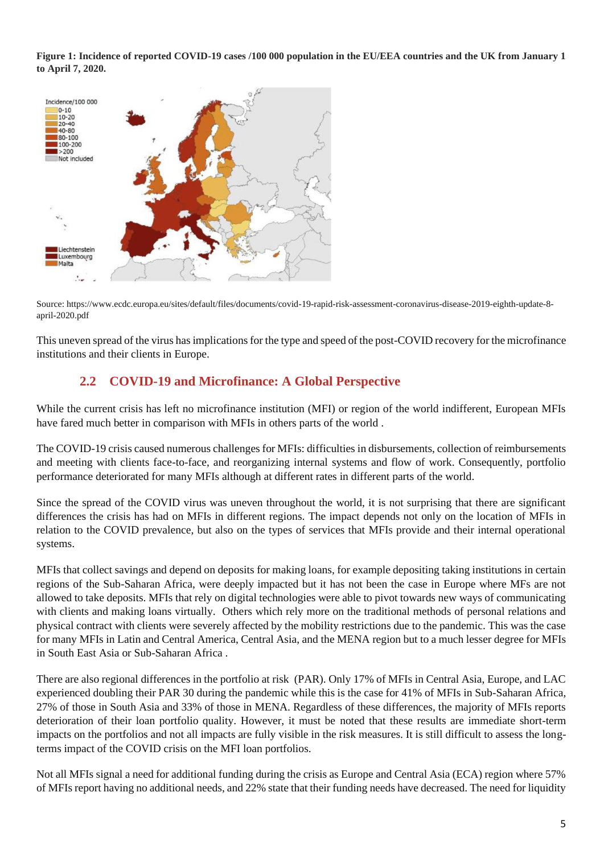**Figure 1: Incidence of reported COVID-19 cases /100 000 population in the EU/EEA countries and the UK from January 1 to April 7, 2020.** 



Source: https://www.ecdc.europa.eu/sites/default/files/documents/covid-19-rapid-risk-assessment-coronavirus-disease-2019-eighth-update-8 april-2020.pdf

This uneven spread of the virus has implications for the type and speed of the post-COVID recovery for the microfinance institutions and their clients in Europe.

## **2.2 COVID-19 and Microfinance: A Global Perspective**

While the current crisis has left no microfinance institution (MFI) or region of the world indifferent, European MFIs have fared much better in comparison with MFIs in others parts of the world .

The COVID-19 crisis caused numerous challenges for MFIs: difficulties in disbursements, collection of reimbursements and meeting with clients face-to-face, and reorganizing internal systems and flow of work. Consequently, portfolio performance deteriorated for many MFIs although at different rates in different parts of the world.

Since the spread of the COVID virus was uneven throughout the world, it is not surprising that there are significant differences the crisis has had on MFIs in different regions. The impact depends not only on the location of MFIs in relation to the COVID prevalence, but also on the types of services that MFIs provide and their internal operational systems.

MFIs that collect savings and depend on deposits for making loans, for example depositing taking institutions in certain regions of the Sub-Saharan Africa, were deeply impacted but it has not been the case in Europe where MFs are not allowed to take deposits. MFIs that rely on digital technologies were able to pivot towards new ways of communicating with clients and making loans virtually. Others which rely more on the traditional methods of personal relations and physical contract with clients were severely affected by the mobility restrictions due to the pandemic. This was the case for many MFIs in Latin and Central America, Central Asia, and the MENA region but to a much lesser degree for MFIs in South East Asia or Sub-Saharan Africa .

There are also regional differences in the portfolio at risk (PAR). Only 17% of MFIs in Central Asia, Europe, and LAC experienced doubling their PAR 30 during the pandemic while this is the case for 41% of MFIs in Sub-Saharan Africa, 27% of those in South Asia and 33% of those in MENA. Regardless of these differences, the majority of MFIs reports deterioration of their loan portfolio quality. However, it must be noted that these results are immediate short-term impacts on the portfolios and not all impacts are fully visible in the risk measures. It is still difficult to assess the longterms impact of the COVID crisis on the MFI loan portfolios.

Not all MFIs signal a need for additional funding during the crisis as Europe and Central Asia (ECA) region where 57% of MFIs report having no additional needs, and 22% state that their funding needs have decreased. The need for liquidity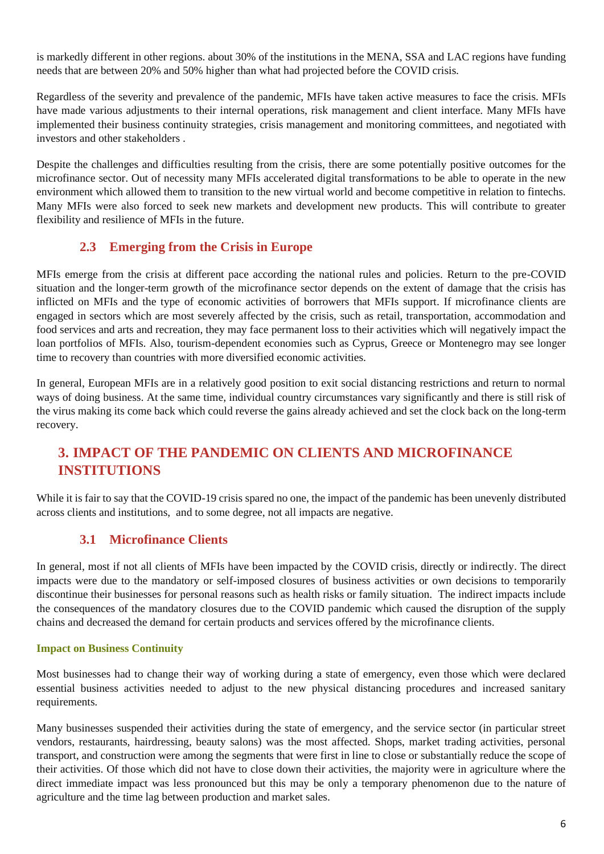is markedly different in other regions. about 30% of the institutions in the MENA, SSA and LAC regions have funding needs that are between 20% and 50% higher than what had projected before the COVID crisis.

Regardless of the severity and prevalence of the pandemic, MFIs have taken active measures to face the crisis. MFIs have made various adjustments to their internal operations, risk management and client interface. Many MFIs have implemented their business continuity strategies, crisis management and monitoring committees, and negotiated with investors and other stakeholders .

Despite the challenges and difficulties resulting from the crisis, there are some potentially positive outcomes for the microfinance sector. Out of necessity many MFIs accelerated digital transformations to be able to operate in the new environment which allowed them to transition to the new virtual world and become competitive in relation to fintechs. Many MFIs were also forced to seek new markets and development new products. This will contribute to greater flexibility and resilience of MFIs in the future.

## **2.3 Emerging from the Crisis in Europe**

MFIs emerge from the crisis at different pace according the national rules and policies. Return to the pre-COVID situation and the longer-term growth of the microfinance sector depends on the extent of damage that the crisis has inflicted on MFIs and the type of economic activities of borrowers that MFIs support. If microfinance clients are engaged in sectors which are most severely affected by the crisis, such as retail, transportation, accommodation and food services and arts and recreation, they may face permanent loss to their activities which will negatively impact the loan portfolios of MFIs. Also, tourism-dependent economies such as Cyprus, Greece or Montenegro may see longer time to recovery than countries with more diversified economic activities.

In general, European MFIs are in a relatively good position to exit social distancing restrictions and return to normal ways of doing business. At the same time, individual country circumstances vary significantly and there is still risk of the virus making its come back which could reverse the gains already achieved and set the clock back on the long-term recovery.

## **3. IMPACT OF THE PANDEMIC ON CLIENTS AND MICROFINANCE INSTITUTIONS**

While it is fair to say that the COVID-19 crisis spared no one, the impact of the pandemic has been unevenly distributed across clients and institutions, and to some degree, not all impacts are negative.

## **3.1 Microfinance Clients**

In general, most if not all clients of MFIs have been impacted by the COVID crisis, directly or indirectly. The direct impacts were due to the mandatory or self-imposed closures of business activities or own decisions to temporarily discontinue their businesses for personal reasons such as health risks or family situation. The indirect impacts include the consequences of the mandatory closures due to the COVID pandemic which caused the disruption of the supply chains and decreased the demand for certain products and services offered by the microfinance clients.

#### **Impact on Business Continuity**

Most businesses had to change their way of working during a state of emergency, even those which were declared essential business activities needed to adjust to the new physical distancing procedures and increased sanitary requirements.

Many businesses suspended their activities during the state of emergency, and the service sector (in particular street vendors, restaurants, hairdressing, beauty salons) was the most affected. Shops, market trading activities, personal transport, and construction were among the segments that were first in line to close or substantially reduce the scope of their activities. Of those which did not have to close down their activities, the majority were in agriculture where the direct immediate impact was less pronounced but this may be only a temporary phenomenon due to the nature of agriculture and the time lag between production and market sales.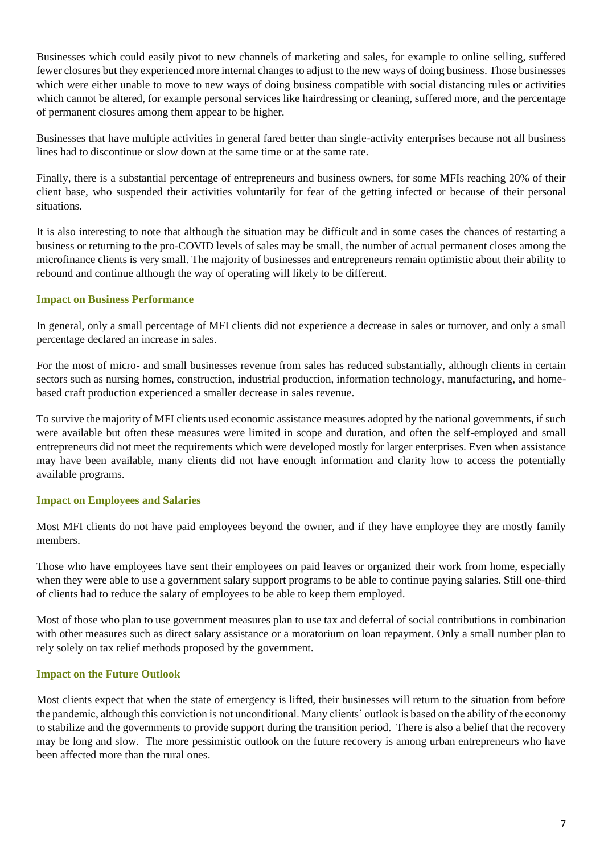Businesses which could easily pivot to new channels of marketing and sales, for example to online selling, suffered fewer closures but they experienced more internal changes to adjust to the new ways of doing business. Those businesses which were either unable to move to new ways of doing business compatible with social distancing rules or activities which cannot be altered, for example personal services like hairdressing or cleaning, suffered more, and the percentage of permanent closures among them appear to be higher.

Businesses that have multiple activities in general fared better than single-activity enterprises because not all business lines had to discontinue or slow down at the same time or at the same rate.

Finally, there is a substantial percentage of entrepreneurs and business owners, for some MFIs reaching 20% of their client base, who suspended their activities voluntarily for fear of the getting infected or because of their personal situations.

It is also interesting to note that although the situation may be difficult and in some cases the chances of restarting a business or returning to the pro-COVID levels of sales may be small, the number of actual permanent closes among the microfinance clients is very small. The majority of businesses and entrepreneurs remain optimistic about their ability to rebound and continue although the way of operating will likely to be different.

#### **Impact on Business Performance**

In general, only a small percentage of MFI clients did not experience a decrease in sales or turnover, and only a small percentage declared an increase in sales.

For the most of micro- and small businesses revenue from sales has reduced substantially, although clients in certain sectors such as nursing homes, construction, industrial production, information technology, manufacturing, and homebased craft production experienced a smaller decrease in sales revenue.

To survive the majority of MFI clients used economic assistance measures adopted by the national governments, if such were available but often these measures were limited in scope and duration, and often the self-employed and small entrepreneurs did not meet the requirements which were developed mostly for larger enterprises. Even when assistance may have been available, many clients did not have enough information and clarity how to access the potentially available programs.

#### **Impact on Employees and Salaries**

Most MFI clients do not have paid employees beyond the owner, and if they have employee they are mostly family members.

Those who have employees have sent their employees on paid leaves or organized their work from home, especially when they were able to use a government salary support programs to be able to continue paying salaries. Still one-third of clients had to reduce the salary of employees to be able to keep them employed.

Most of those who plan to use government measures plan to use tax and deferral of social contributions in combination with other measures such as direct salary assistance or a moratorium on loan repayment. Only a small number plan to rely solely on tax relief methods proposed by the government.

#### **Impact on the Future Outlook**

Most clients expect that when the state of emergency is lifted, their businesses will return to the situation from before the pandemic, although this conviction is not unconditional. Many clients' outlook is based on the ability of the economy to stabilize and the governments to provide support during the transition period. There is also a belief that the recovery may be long and slow. The more pessimistic outlook on the future recovery is among urban entrepreneurs who have been affected more than the rural ones.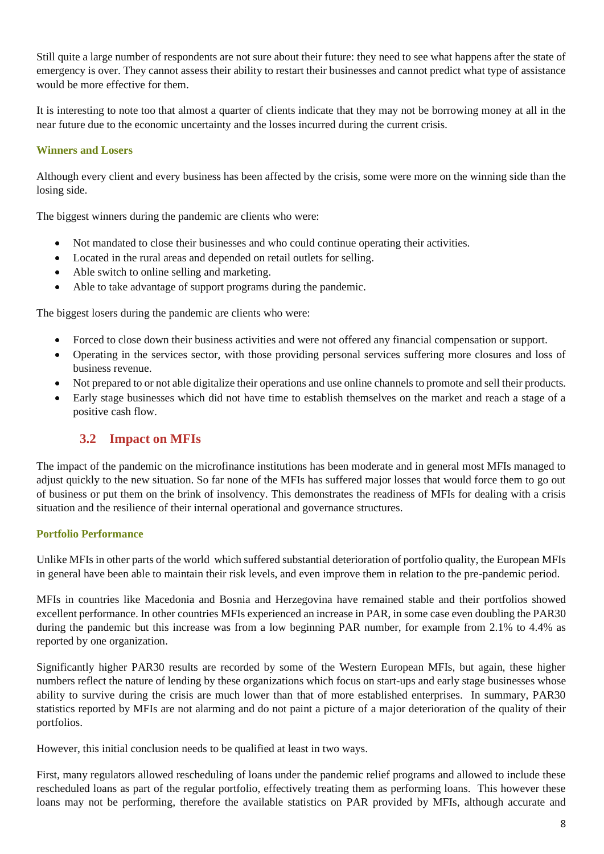Still quite a large number of respondents are not sure about their future: they need to see what happens after the state of emergency is over. They cannot assess their ability to restart their businesses and cannot predict what type of assistance would be more effective for them.

It is interesting to note too that almost a quarter of clients indicate that they may not be borrowing money at all in the near future due to the economic uncertainty and the losses incurred during the current crisis.

#### **Winners and Losers**

Although every client and every business has been affected by the crisis, some were more on the winning side than the losing side.

The biggest winners during the pandemic are clients who were:

- Not mandated to close their businesses and who could continue operating their activities.
- Located in the rural areas and depended on retail outlets for selling.
- Able switch to online selling and marketing.
- Able to take advantage of support programs during the pandemic.

The biggest losers during the pandemic are clients who were:

- Forced to close down their business activities and were not offered any financial compensation or support.
- Operating in the services sector, with those providing personal services suffering more closures and loss of business revenue.
- Not prepared to or not able digitalize their operations and use online channels to promote and sell their products.
- Early stage businesses which did not have time to establish themselves on the market and reach a stage of a positive cash flow.

## **3.2 Impact on MFIs**

The impact of the pandemic on the microfinance institutions has been moderate and in general most MFIs managed to adjust quickly to the new situation. So far none of the MFIs has suffered major losses that would force them to go out of business or put them on the brink of insolvency. This demonstrates the readiness of MFIs for dealing with a crisis situation and the resilience of their internal operational and governance structures.

#### **Portfolio Performance**

Unlike MFIs in other parts of the world which suffered substantial deterioration of portfolio quality, the European MFIs in general have been able to maintain their risk levels, and even improve them in relation to the pre-pandemic period.

MFIs in countries like Macedonia and Bosnia and Herzegovina have remained stable and their portfolios showed excellent performance. In other countries MFIs experienced an increase in PAR, in some case even doubling the PAR30 during the pandemic but this increase was from a low beginning PAR number, for example from 2.1% to 4.4% as reported by one organization.

Significantly higher PAR30 results are recorded by some of the Western European MFIs, but again, these higher numbers reflect the nature of lending by these organizations which focus on start-ups and early stage businesses whose ability to survive during the crisis are much lower than that of more established enterprises. In summary, PAR30 statistics reported by MFIs are not alarming and do not paint a picture of a major deterioration of the quality of their portfolios.

However, this initial conclusion needs to be qualified at least in two ways.

First, many regulators allowed rescheduling of loans under the pandemic relief programs and allowed to include these rescheduled loans as part of the regular portfolio, effectively treating them as performing loans. This however these loans may not be performing, therefore the available statistics on PAR provided by MFIs, although accurate and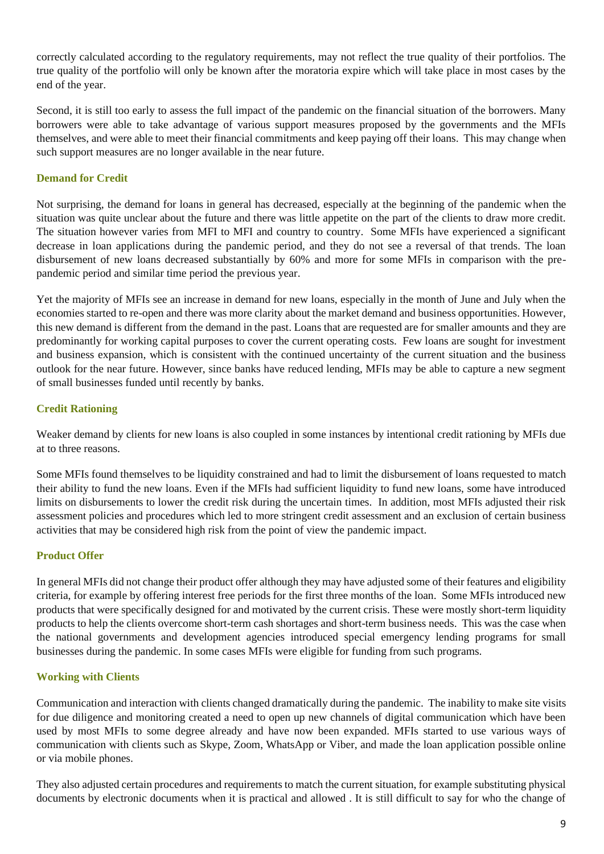correctly calculated according to the regulatory requirements, may not reflect the true quality of their portfolios. The true quality of the portfolio will only be known after the moratoria expire which will take place in most cases by the end of the year.

Second, it is still too early to assess the full impact of the pandemic on the financial situation of the borrowers. Many borrowers were able to take advantage of various support measures proposed by the governments and the MFIs themselves, and were able to meet their financial commitments and keep paying off their loans. This may change when such support measures are no longer available in the near future.

#### **Demand for Credit**

Not surprising, the demand for loans in general has decreased, especially at the beginning of the pandemic when the situation was quite unclear about the future and there was little appetite on the part of the clients to draw more credit. The situation however varies from MFI to MFI and country to country. Some MFIs have experienced a significant decrease in loan applications during the pandemic period, and they do not see a reversal of that trends. The loan disbursement of new loans decreased substantially by 60% and more for some MFIs in comparison with the prepandemic period and similar time period the previous year.

Yet the majority of MFIs see an increase in demand for new loans, especially in the month of June and July when the economies started to re-open and there was more clarity about the market demand and business opportunities. However, this new demand is different from the demand in the past. Loans that are requested are for smaller amounts and they are predominantly for working capital purposes to cover the current operating costs. Few loans are sought for investment and business expansion, which is consistent with the continued uncertainty of the current situation and the business outlook for the near future. However, since banks have reduced lending, MFIs may be able to capture a new segment of small businesses funded until recently by banks.

#### **Credit Rationing**

Weaker demand by clients for new loans is also coupled in some instances by intentional credit rationing by MFIs due at to three reasons.

Some MFIs found themselves to be liquidity constrained and had to limit the disbursement of loans requested to match their ability to fund the new loans. Even if the MFIs had sufficient liquidity to fund new loans, some have introduced limits on disbursements to lower the credit risk during the uncertain times. In addition, most MFIs adjusted their risk assessment policies and procedures which led to more stringent credit assessment and an exclusion of certain business activities that may be considered high risk from the point of view the pandemic impact.

#### **Product Offer**

In general MFIs did not change their product offer although they may have adjusted some of their features and eligibility criteria, for example by offering interest free periods for the first three months of the loan. Some MFIs introduced new products that were specifically designed for and motivated by the current crisis. These were mostly short-term liquidity products to help the clients overcome short-term cash shortages and short-term business needs. This was the case when the national governments and development agencies introduced special emergency lending programs for small businesses during the pandemic. In some cases MFIs were eligible for funding from such programs.

#### **Working with Clients**

Communication and interaction with clients changed dramatically during the pandemic. The inability to make site visits for due diligence and monitoring created a need to open up new channels of digital communication which have been used by most MFIs to some degree already and have now been expanded. MFIs started to use various ways of communication with clients such as Skype, Zoom, WhatsApp or Viber, and made the loan application possible online or via mobile phones.

They also adjusted certain procedures and requirements to match the current situation, for example substituting physical documents by electronic documents when it is practical and allowed . It is still difficult to say for who the change of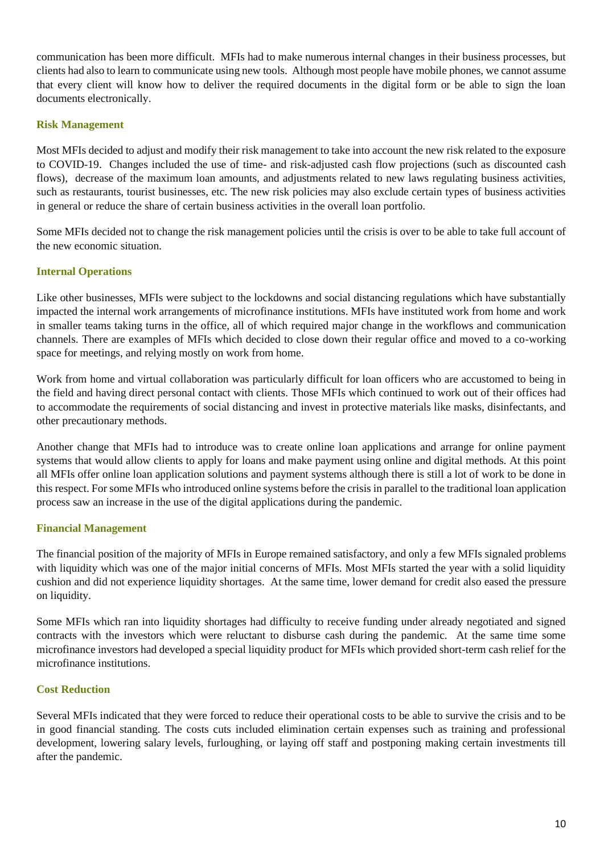communication has been more difficult. MFIs had to make numerous internal changes in their business processes, but clients had also to learn to communicate using new tools. Although most people have mobile phones, we cannot assume that every client will know how to deliver the required documents in the digital form or be able to sign the loan documents electronically.

#### **Risk Management**

Most MFIs decided to adjust and modify their risk management to take into account the new risk related to the exposure to COVID-19. Changes included the use of time- and risk-adjusted cash flow projections (such as discounted cash flows), decrease of the maximum loan amounts, and adjustments related to new laws regulating business activities, such as restaurants, tourist businesses, etc. The new risk policies may also exclude certain types of business activities in general or reduce the share of certain business activities in the overall loan portfolio.

Some MFIs decided not to change the risk management policies until the crisis is over to be able to take full account of the new economic situation.

#### **Internal Operations**

Like other businesses, MFIs were subject to the lockdowns and social distancing regulations which have substantially impacted the internal work arrangements of microfinance institutions. MFIs have instituted work from home and work in smaller teams taking turns in the office, all of which required major change in the workflows and communication channels. There are examples of MFIs which decided to close down their regular office and moved to a co-working space for meetings, and relying mostly on work from home.

Work from home and virtual collaboration was particularly difficult for loan officers who are accustomed to being in the field and having direct personal contact with clients. Those MFIs which continued to work out of their offices had to accommodate the requirements of social distancing and invest in protective materials like masks, disinfectants, and other precautionary methods.

Another change that MFIs had to introduce was to create online loan applications and arrange for online payment systems that would allow clients to apply for loans and make payment using online and digital methods. At this point all MFIs offer online loan application solutions and payment systems although there is still a lot of work to be done in this respect. For some MFIs who introduced online systems before the crisis in parallel to the traditional loan application process saw an increase in the use of the digital applications during the pandemic.

#### **Financial Management**

The financial position of the majority of MFIs in Europe remained satisfactory, and only a few MFIs signaled problems with liquidity which was one of the major initial concerns of MFIs. Most MFIs started the year with a solid liquidity cushion and did not experience liquidity shortages. At the same time, lower demand for credit also eased the pressure on liquidity.

Some MFIs which ran into liquidity shortages had difficulty to receive funding under already negotiated and signed contracts with the investors which were reluctant to disburse cash during the pandemic. At the same time some microfinance investors had developed a special liquidity product for MFIs which provided short-term cash relief for the microfinance institutions.

#### **Cost Reduction**

Several MFIs indicated that they were forced to reduce their operational costs to be able to survive the crisis and to be in good financial standing. The costs cuts included elimination certain expenses such as training and professional development, lowering salary levels, furloughing, or laying off staff and postponing making certain investments till after the pandemic.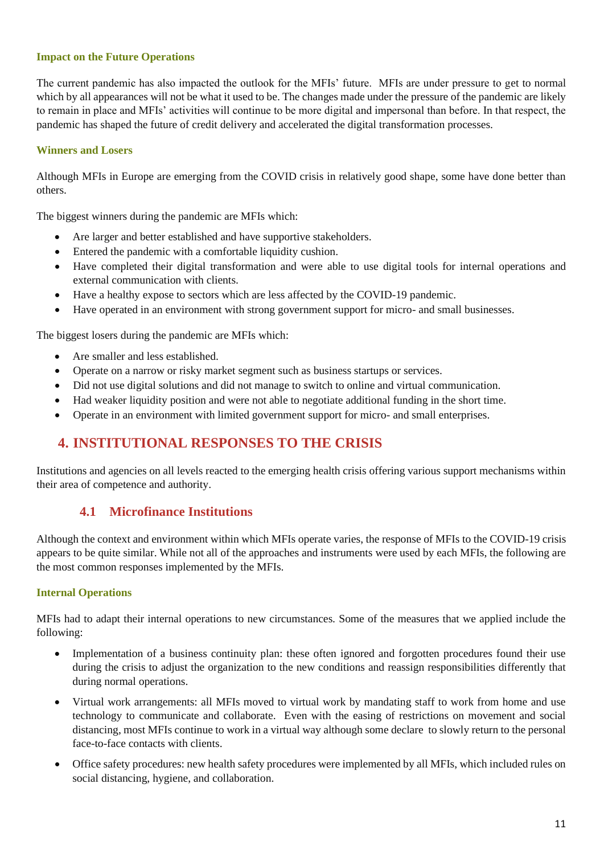#### **Impact on the Future Operations**

The current pandemic has also impacted the outlook for the MFIs' future. MFIs are under pressure to get to normal which by all appearances will not be what it used to be. The changes made under the pressure of the pandemic are likely to remain in place and MFIs' activities will continue to be more digital and impersonal than before. In that respect, the pandemic has shaped the future of credit delivery and accelerated the digital transformation processes.

#### **Winners and Losers**

Although MFIs in Europe are emerging from the COVID crisis in relatively good shape, some have done better than others.

The biggest winners during the pandemic are MFIs which:

- Are larger and better established and have supportive stakeholders.
- Entered the pandemic with a comfortable liquidity cushion.
- Have completed their digital transformation and were able to use digital tools for internal operations and external communication with clients.
- Have a healthy expose to sectors which are less affected by the COVID-19 pandemic.
- Have operated in an environment with strong government support for micro- and small businesses.

The biggest losers during the pandemic are MFIs which:

- Are smaller and less established.
- Operate on a narrow or risky market segment such as business startups or services.
- Did not use digital solutions and did not manage to switch to online and virtual communication.
- Had weaker liquidity position and were not able to negotiate additional funding in the short time.
- Operate in an environment with limited government support for micro- and small enterprises.

## **4. INSTITUTIONAL RESPONSES TO THE CRISIS**

Institutions and agencies on all levels reacted to the emerging health crisis offering various support mechanisms within their area of competence and authority.

#### **4.1 Microfinance Institutions**

Although the context and environment within which MFIs operate varies, the response of MFIs to the COVID-19 crisis appears to be quite similar. While not all of the approaches and instruments were used by each MFIs, the following are the most common responses implemented by the MFIs.

#### **Internal Operations**

MFIs had to adapt their internal operations to new circumstances. Some of the measures that we applied include the following:

- Implementation of a business continuity plan: these often ignored and forgotten procedures found their use during the crisis to adjust the organization to the new conditions and reassign responsibilities differently that during normal operations.
- Virtual work arrangements: all MFIs moved to virtual work by mandating staff to work from home and use technology to communicate and collaborate. Even with the easing of restrictions on movement and social distancing, most MFIs continue to work in a virtual way although some declare to slowly return to the personal face-to-face contacts with clients.
- Office safety procedures: new health safety procedures were implemented by all MFIs, which included rules on social distancing, hygiene, and collaboration.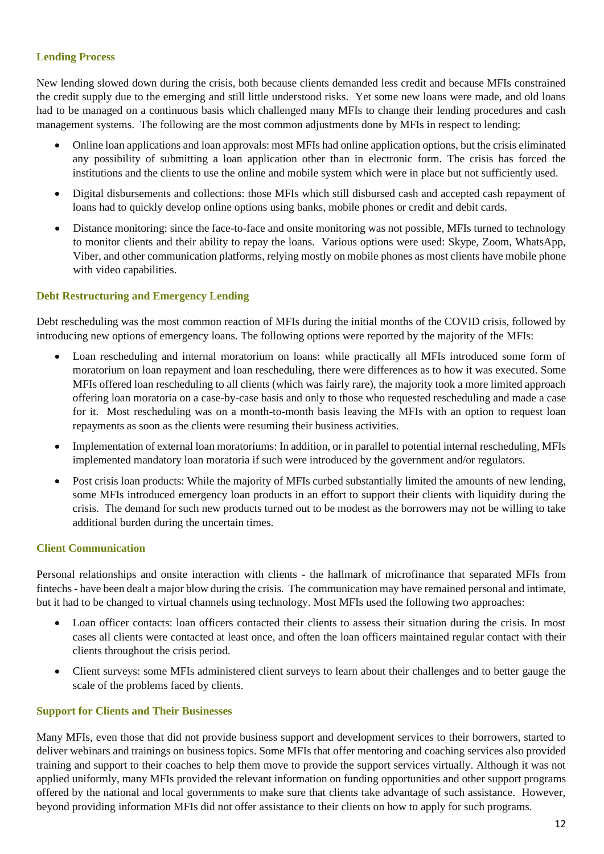#### **Lending Process**

New lending slowed down during the crisis, both because clients demanded less credit and because MFIs constrained the credit supply due to the emerging and still little understood risks. Yet some new loans were made, and old loans had to be managed on a continuous basis which challenged many MFIs to change their lending procedures and cash management systems. The following are the most common adjustments done by MFIs in respect to lending:

- Online loan applications and loan approvals: most MFIs had online application options, but the crisis eliminated any possibility of submitting a loan application other than in electronic form. The crisis has forced the institutions and the clients to use the online and mobile system which were in place but not sufficiently used.
- Digital disbursements and collections: those MFIs which still disbursed cash and accepted cash repayment of loans had to quickly develop online options using banks, mobile phones or credit and debit cards.
- Distance monitoring: since the face-to-face and onsite monitoring was not possible, MFIs turned to technology to monitor clients and their ability to repay the loans. Various options were used: Skype, Zoom, WhatsApp, Viber, and other communication platforms, relying mostly on mobile phones as most clients have mobile phone with video capabilities.

#### **Debt Restructuring and Emergency Lending**

Debt rescheduling was the most common reaction of MFIs during the initial months of the COVID crisis, followed by introducing new options of emergency loans. The following options were reported by the majority of the MFIs:

- Loan rescheduling and internal moratorium on loans: while practically all MFIs introduced some form of moratorium on loan repayment and loan rescheduling, there were differences as to how it was executed. Some MFIs offered loan rescheduling to all clients (which was fairly rare), the majority took a more limited approach offering loan moratoria on a case-by-case basis and only to those who requested rescheduling and made a case for it. Most rescheduling was on a month-to-month basis leaving the MFIs with an option to request loan repayments as soon as the clients were resuming their business activities.
- Implementation of external loan moratoriums: In addition, or in parallel to potential internal rescheduling, MFIs implemented mandatory loan moratoria if such were introduced by the government and/or regulators.
- Post crisis loan products: While the majority of MFIs curbed substantially limited the amounts of new lending, some MFIs introduced emergency loan products in an effort to support their clients with liquidity during the crisis. The demand for such new products turned out to be modest as the borrowers may not be willing to take additional burden during the uncertain times.

#### **Client Communication**

Personal relationships and onsite interaction with clients - the hallmark of microfinance that separated MFIs from fintechs - have been dealt a major blow during the crisis. The communication may have remained personal and intimate, but it had to be changed to virtual channels using technology. Most MFIs used the following two approaches:

- Loan officer contacts: loan officers contacted their clients to assess their situation during the crisis. In most cases all clients were contacted at least once, and often the loan officers maintained regular contact with their clients throughout the crisis period.
- Client surveys: some MFIs administered client surveys to learn about their challenges and to better gauge the scale of the problems faced by clients.

#### **Support for Clients and Their Businesses**

Many MFIs, even those that did not provide business support and development services to their borrowers, started to deliver webinars and trainings on business topics. Some MFIs that offer mentoring and coaching services also provided training and support to their coaches to help them move to provide the support services virtually. Although it was not applied uniformly, many MFIs provided the relevant information on funding opportunities and other support programs offered by the national and local governments to make sure that clients take advantage of such assistance. However, beyond providing information MFIs did not offer assistance to their clients on how to apply for such programs.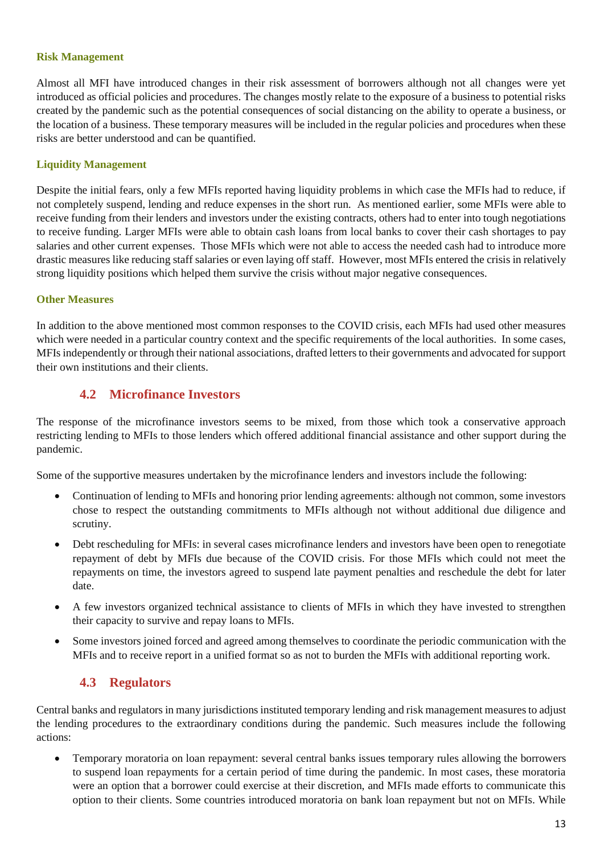#### **Risk Management**

Almost all MFI have introduced changes in their risk assessment of borrowers although not all changes were yet introduced as official policies and procedures. The changes mostly relate to the exposure of a business to potential risks created by the pandemic such as the potential consequences of social distancing on the ability to operate a business, or the location of a business. These temporary measures will be included in the regular policies and procedures when these risks are better understood and can be quantified.

#### **Liquidity Management**

Despite the initial fears, only a few MFIs reported having liquidity problems in which case the MFIs had to reduce, if not completely suspend, lending and reduce expenses in the short run. As mentioned earlier, some MFIs were able to receive funding from their lenders and investors under the existing contracts, others had to enter into tough negotiations to receive funding. Larger MFIs were able to obtain cash loans from local banks to cover their cash shortages to pay salaries and other current expenses. Those MFIs which were not able to access the needed cash had to introduce more drastic measures like reducing staff salaries or even laying off staff. However, most MFIs entered the crisis in relatively strong liquidity positions which helped them survive the crisis without major negative consequences.

#### **Other Measures**

In addition to the above mentioned most common responses to the COVID crisis, each MFIs had used other measures which were needed in a particular country context and the specific requirements of the local authorities. In some cases, MFIs independently or through their national associations, drafted letters to their governments and advocated for support their own institutions and their clients.

#### **4.2 Microfinance Investors**

The response of the microfinance investors seems to be mixed, from those which took a conservative approach restricting lending to MFIs to those lenders which offered additional financial assistance and other support during the pandemic.

Some of the supportive measures undertaken by the microfinance lenders and investors include the following:

- Continuation of lending to MFIs and honoring prior lending agreements: although not common, some investors chose to respect the outstanding commitments to MFIs although not without additional due diligence and scrutiny.
- Debt rescheduling for MFIs: in several cases microfinance lenders and investors have been open to renegotiate repayment of debt by MFIs due because of the COVID crisis. For those MFIs which could not meet the repayments on time, the investors agreed to suspend late payment penalties and reschedule the debt for later date.
- A few investors organized technical assistance to clients of MFIs in which they have invested to strengthen their capacity to survive and repay loans to MFIs.
- Some investors joined forced and agreed among themselves to coordinate the periodic communication with the MFIs and to receive report in a unified format so as not to burden the MFIs with additional reporting work.

## **4.3 Regulators**

Central banks and regulators in many jurisdictions instituted temporary lending and risk management measures to adjust the lending procedures to the extraordinary conditions during the pandemic. Such measures include the following actions:

• Temporary moratoria on loan repayment: several central banks issues temporary rules allowing the borrowers to suspend loan repayments for a certain period of time during the pandemic. In most cases, these moratoria were an option that a borrower could exercise at their discretion, and MFIs made efforts to communicate this option to their clients. Some countries introduced moratoria on bank loan repayment but not on MFIs. While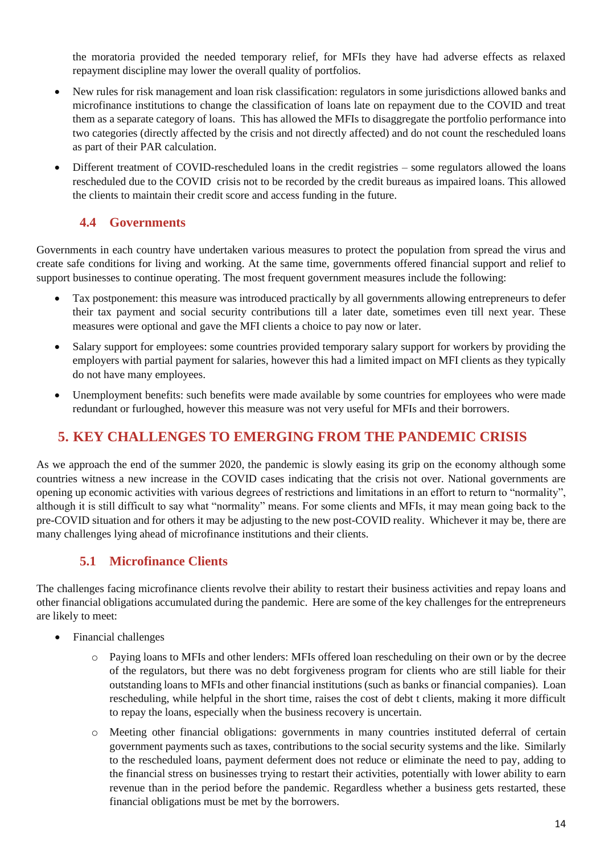the moratoria provided the needed temporary relief, for MFIs they have had adverse effects as relaxed repayment discipline may lower the overall quality of portfolios.

- New rules for risk management and loan risk classification: regulators in some jurisdictions allowed banks and microfinance institutions to change the classification of loans late on repayment due to the COVID and treat them as a separate category of loans. This has allowed the MFIs to disaggregate the portfolio performance into two categories (directly affected by the crisis and not directly affected) and do not count the rescheduled loans as part of their PAR calculation.
- Different treatment of COVID-rescheduled loans in the credit registries some regulators allowed the loans rescheduled due to the COVID crisis not to be recorded by the credit bureaus as impaired loans. This allowed the clients to maintain their credit score and access funding in the future.

## **4.4 Governments**

Governments in each country have undertaken various measures to protect the population from spread the virus and create safe conditions for living and working. At the same time, governments offered financial support and relief to support businesses to continue operating. The most frequent government measures include the following:

- Tax postponement: this measure was introduced practically by all governments allowing entrepreneurs to defer their tax payment and social security contributions till a later date, sometimes even till next year. These measures were optional and gave the MFI clients a choice to pay now or later.
- Salary support for employees: some countries provided temporary salary support for workers by providing the employers with partial payment for salaries, however this had a limited impact on MFI clients as they typically do not have many employees.
- Unemployment benefits: such benefits were made available by some countries for employees who were made redundant or furloughed, however this measure was not very useful for MFIs and their borrowers.

## **5. KEY CHALLENGES TO EMERGING FROM THE PANDEMIC CRISIS**

As we approach the end of the summer 2020, the pandemic is slowly easing its grip on the economy although some countries witness a new increase in the COVID cases indicating that the crisis not over. National governments are opening up economic activities with various degrees of restrictions and limitations in an effort to return to "normality", although it is still difficult to say what "normality" means. For some clients and MFIs, it may mean going back to the pre-COVID situation and for others it may be adjusting to the new post-COVID reality. Whichever it may be, there are many challenges lying ahead of microfinance institutions and their clients.

## **5.1 Microfinance Clients**

The challenges facing microfinance clients revolve their ability to restart their business activities and repay loans and other financial obligations accumulated during the pandemic. Here are some of the key challenges for the entrepreneurs are likely to meet:

- Financial challenges
	- o Paying loans to MFIs and other lenders: MFIs offered loan rescheduling on their own or by the decree of the regulators, but there was no debt forgiveness program for clients who are still liable for their outstanding loans to MFIs and other financial institutions (such as banks or financial companies). Loan rescheduling, while helpful in the short time, raises the cost of debt t clients, making it more difficult to repay the loans, especially when the business recovery is uncertain.
	- o Meeting other financial obligations: governments in many countries instituted deferral of certain government payments such as taxes, contributions to the social security systems and the like. Similarly to the rescheduled loans, payment deferment does not reduce or eliminate the need to pay, adding to the financial stress on businesses trying to restart their activities, potentially with lower ability to earn revenue than in the period before the pandemic. Regardless whether a business gets restarted, these financial obligations must be met by the borrowers.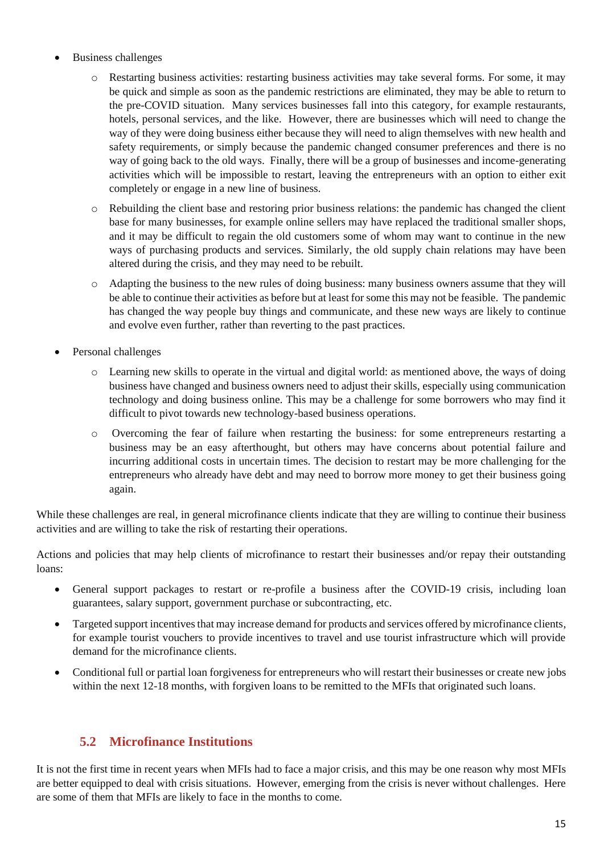- Business challenges
	- o Restarting business activities: restarting business activities may take several forms. For some, it may be quick and simple as soon as the pandemic restrictions are eliminated, they may be able to return to the pre-COVID situation. Many services businesses fall into this category, for example restaurants, hotels, personal services, and the like. However, there are businesses which will need to change the way of they were doing business either because they will need to align themselves with new health and safety requirements, or simply because the pandemic changed consumer preferences and there is no way of going back to the old ways. Finally, there will be a group of businesses and income-generating activities which will be impossible to restart, leaving the entrepreneurs with an option to either exit completely or engage in a new line of business.
	- o Rebuilding the client base and restoring prior business relations: the pandemic has changed the client base for many businesses, for example online sellers may have replaced the traditional smaller shops, and it may be difficult to regain the old customers some of whom may want to continue in the new ways of purchasing products and services. Similarly, the old supply chain relations may have been altered during the crisis, and they may need to be rebuilt.
	- o Adapting the business to the new rules of doing business: many business owners assume that they will be able to continue their activities as before but at least for some this may not be feasible. The pandemic has changed the way people buy things and communicate, and these new ways are likely to continue and evolve even further, rather than reverting to the past practices.
- Personal challenges
	- o Learning new skills to operate in the virtual and digital world: as mentioned above, the ways of doing business have changed and business owners need to adjust their skills, especially using communication technology and doing business online. This may be a challenge for some borrowers who may find it difficult to pivot towards new technology-based business operations.
	- o Overcoming the fear of failure when restarting the business: for some entrepreneurs restarting a business may be an easy afterthought, but others may have concerns about potential failure and incurring additional costs in uncertain times. The decision to restart may be more challenging for the entrepreneurs who already have debt and may need to borrow more money to get their business going again.

While these challenges are real, in general microfinance clients indicate that they are willing to continue their business activities and are willing to take the risk of restarting their operations.

Actions and policies that may help clients of microfinance to restart their businesses and/or repay their outstanding loans:

- General support packages to restart or re-profile a business after the COVID-19 crisis, including loan guarantees, salary support, government purchase or subcontracting, etc.
- Targeted support incentives that may increase demand for products and services offered by microfinance clients, for example tourist vouchers to provide incentives to travel and use tourist infrastructure which will provide demand for the microfinance clients.
- Conditional full or partial loan forgiveness for entrepreneurs who will restart their businesses or create new jobs within the next 12-18 months, with forgiven loans to be remitted to the MFIs that originated such loans.

## **5.2 Microfinance Institutions**

It is not the first time in recent years when MFIs had to face a major crisis, and this may be one reason why most MFIs are better equipped to deal with crisis situations. However, emerging from the crisis is never without challenges. Here are some of them that MFIs are likely to face in the months to come.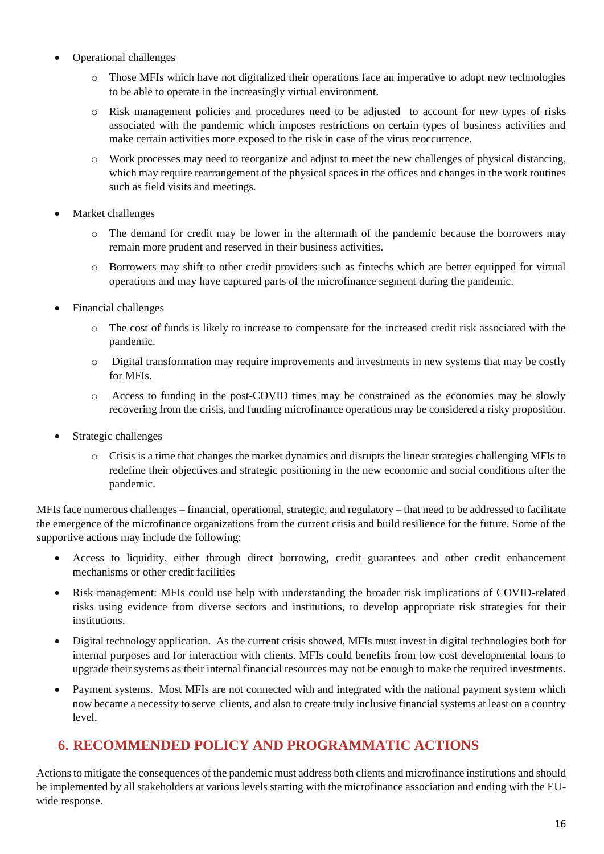- Operational challenges
	- o Those MFIs which have not digitalized their operations face an imperative to adopt new technologies to be able to operate in the increasingly virtual environment.
	- o Risk management policies and procedures need to be adjusted to account for new types of risks associated with the pandemic which imposes restrictions on certain types of business activities and make certain activities more exposed to the risk in case of the virus reoccurrence.
	- o Work processes may need to reorganize and adjust to meet the new challenges of physical distancing, which may require rearrangement of the physical spaces in the offices and changes in the work routines such as field visits and meetings.
- Market challenges
	- o The demand for credit may be lower in the aftermath of the pandemic because the borrowers may remain more prudent and reserved in their business activities.
	- o Borrowers may shift to other credit providers such as fintechs which are better equipped for virtual operations and may have captured parts of the microfinance segment during the pandemic.
- Financial challenges
	- o The cost of funds is likely to increase to compensate for the increased credit risk associated with the pandemic.
	- o Digital transformation may require improvements and investments in new systems that may be costly for MFIs.
	- o Access to funding in the post-COVID times may be constrained as the economies may be slowly recovering from the crisis, and funding microfinance operations may be considered a risky proposition.
- Strategic challenges
	- o Crisis is a time that changes the market dynamics and disrupts the linear strategies challenging MFIs to redefine their objectives and strategic positioning in the new economic and social conditions after the pandemic.

MFIs face numerous challenges – financial, operational, strategic, and regulatory – that need to be addressed to facilitate the emergence of the microfinance organizations from the current crisis and build resilience for the future. Some of the supportive actions may include the following:

- Access to liquidity, either through direct borrowing, credit guarantees and other credit enhancement mechanisms or other credit facilities
- Risk management: MFIs could use help with understanding the broader risk implications of COVID-related risks using evidence from diverse sectors and institutions, to develop appropriate risk strategies for their institutions.
- Digital technology application. As the current crisis showed, MFIs must invest in digital technologies both for internal purposes and for interaction with clients. MFIs could benefits from low cost developmental loans to upgrade their systems as their internal financial resources may not be enough to make the required investments.
- Payment systems. Most MFIs are not connected with and integrated with the national payment system which now became a necessity to serve clients, and also to create truly inclusive financial systems at least on a country level.

## **6. RECOMMENDED POLICY AND PROGRAMMATIC ACTIONS**

Actions to mitigate the consequences of the pandemic must address both clients and microfinance institutions and should be implemented by all stakeholders at various levels starting with the microfinance association and ending with the EUwide response.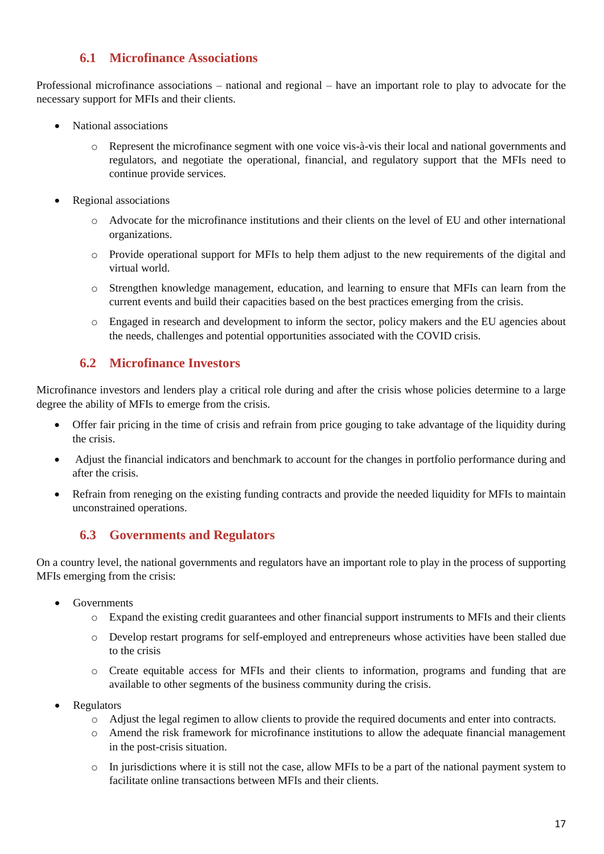## **6.1 Microfinance Associations**

Professional microfinance associations – national and regional – have an important role to play to advocate for the necessary support for MFIs and their clients.

- National associations
	- o Represent the microfinance segment with one voice vis-à-vis their local and national governments and regulators, and negotiate the operational, financial, and regulatory support that the MFIs need to continue provide services.
- Regional associations
	- o Advocate for the microfinance institutions and their clients on the level of EU and other international organizations.
	- o Provide operational support for MFIs to help them adjust to the new requirements of the digital and virtual world.
	- o Strengthen knowledge management, education, and learning to ensure that MFIs can learn from the current events and build their capacities based on the best practices emerging from the crisis.
	- o Engaged in research and development to inform the sector, policy makers and the EU agencies about the needs, challenges and potential opportunities associated with the COVID crisis.

## **6.2 Microfinance Investors**

Microfinance investors and lenders play a critical role during and after the crisis whose policies determine to a large degree the ability of MFIs to emerge from the crisis.

- Offer fair pricing in the time of crisis and refrain from price gouging to take advantage of the liquidity during the crisis.
- Adjust the financial indicators and benchmark to account for the changes in portfolio performance during and after the crisis.
- Refrain from reneging on the existing funding contracts and provide the needed liquidity for MFIs to maintain unconstrained operations.

#### **6.3 Governments and Regulators**

On a country level, the national governments and regulators have an important role to play in the process of supporting MFIs emerging from the crisis:

- Governments
	- o Expand the existing credit guarantees and other financial support instruments to MFIs and their clients
	- o Develop restart programs for self-employed and entrepreneurs whose activities have been stalled due to the crisis
	- o Create equitable access for MFIs and their clients to information, programs and funding that are available to other segments of the business community during the crisis.
- Regulators
	- o Adjust the legal regimen to allow clients to provide the required documents and enter into contracts.
	- o Amend the risk framework for microfinance institutions to allow the adequate financial management in the post-crisis situation.
	- o In jurisdictions where it is still not the case, allow MFIs to be a part of the national payment system to facilitate online transactions between MFIs and their clients.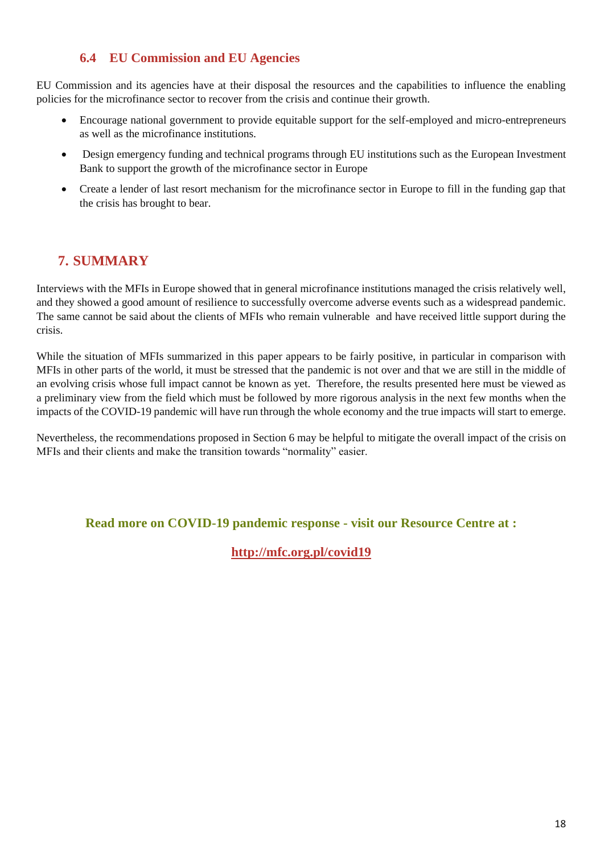### **6.4 EU Commission and EU Agencies**

EU Commission and its agencies have at their disposal the resources and the capabilities to influence the enabling policies for the microfinance sector to recover from the crisis and continue their growth.

- Encourage national government to provide equitable support for the self-employed and micro-entrepreneurs as well as the microfinance institutions.
- Design emergency funding and technical programs through EU institutions such as the European Investment Bank to support the growth of the microfinance sector in Europe
- Create a lender of last resort mechanism for the microfinance sector in Europe to fill in the funding gap that the crisis has brought to bear.

## **7. SUMMARY**

Interviews with the MFIs in Europe showed that in general microfinance institutions managed the crisis relatively well, and they showed a good amount of resilience to successfully overcome adverse events such as a widespread pandemic. The same cannot be said about the clients of MFIs who remain vulnerable and have received little support during the crisis.

While the situation of MFIs summarized in this paper appears to be fairly positive, in particular in comparison with MFIs in other parts of the world, it must be stressed that the pandemic is not over and that we are still in the middle of an evolving crisis whose full impact cannot be known as yet. Therefore, the results presented here must be viewed as a preliminary view from the field which must be followed by more rigorous analysis in the next few months when the impacts of the COVID-19 pandemic will have run through the whole economy and the true impacts will start to emerge.

Nevertheless, the recommendations proposed in Section 6 may be helpful to mitigate the overall impact of the crisis on MFIs and their clients and make the transition towards "normality" easier.

**Read more on COVID-19 pandemic response - visit our Resource Centre at :**

**http://mfc.org.pl/covid19**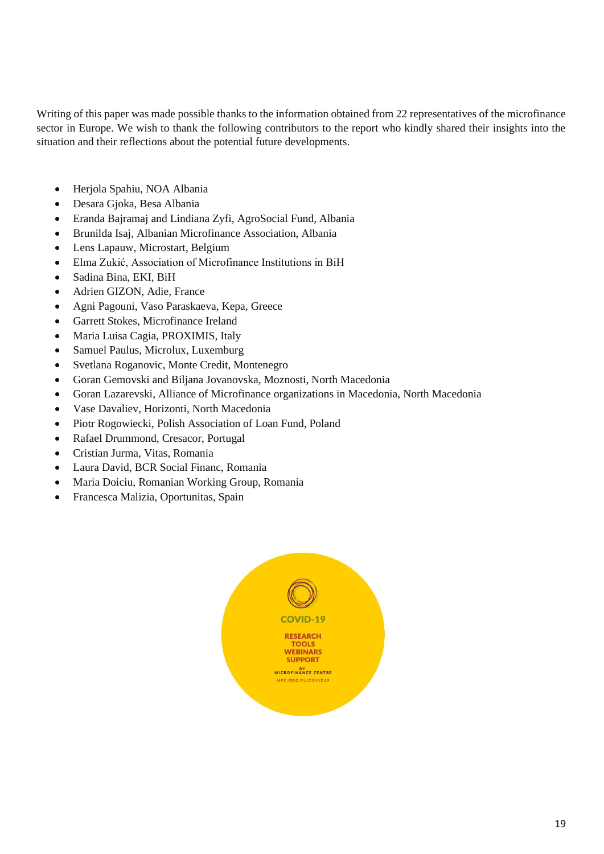Writing of this paper was made possible thanks to the information obtained from 22 representatives of the microfinance sector in Europe. We wish to thank the following contributors to the report who kindly shared their insights into the situation and their reflections about the potential future developments.

- Herjola Spahiu, NOA Albania
- Desara Gjoka, Besa Albania
- Eranda Bajramaj and Lindiana Zyfi, AgroSocial Fund, Albania
- Brunilda Isaj, Albanian Microfinance Association, Albania
- Lens Lapauw, Microstart, Belgium
- Elma Zukić, Association of Microfinance Institutions in BiH
- Sadina Bina, EKI, BiH
- Adrien GIZON, Adie, France
- Agni Pagouni, Vaso Paraskaeva, Kepa, Greece
- Garrett Stokes, Microfinance Ireland
- Maria Luisa Cagia, PROXIMIS, Italy
- Samuel Paulus, Microlux, Luxemburg
- Svetlana Roganovic, Monte Credit, Montenegro
- Goran Gemovski and Biljana Jovanovska, Moznosti, North Macedonia
- Goran Lazarevski, Alliance of Microfinance organizations in Macedonia, North Macedonia
- Vase Davaliev, Horizonti, North Macedonia
- Piotr Rogowiecki, Polish Association of Loan Fund, Poland
- Rafael Drummond, Cresacor, Portugal
- Cristian Jurma, Vitas, Romania
- Laura David, BCR Social Financ, Romania
- Maria Doiciu, Romanian Working Group, Romania
- Francesca Malizia, Oportunitas, Spain